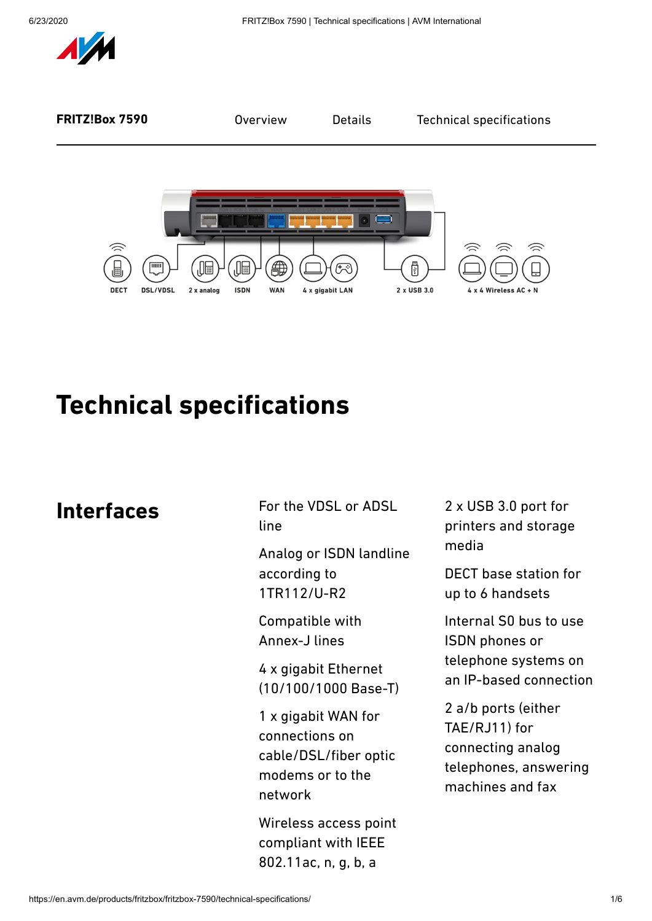



# **Technical specifications**

## **Interfaces**

For the VDSL or ADSL line

Analog or ISDN landline according to 1TR112/U-R2

Compatible with Annex-J lines

4 x gigabit Ethernet (10/100/1000 Base-T)

1 x gigabit WAN for connections on cable/DSL/fiber optic modems or to the network

Wireless access point compliant with IEEE 802.11ac, n, g, b, a

2 x USB 3.0 port for printers and storage media

DECT base station for up to 6 handsets

Internal S0 bus to use ISDN phones or telephone systems on an IP-based connection

2 a/b ports (either TAE/RJ11) for connecting analog telephones, answering machines and fax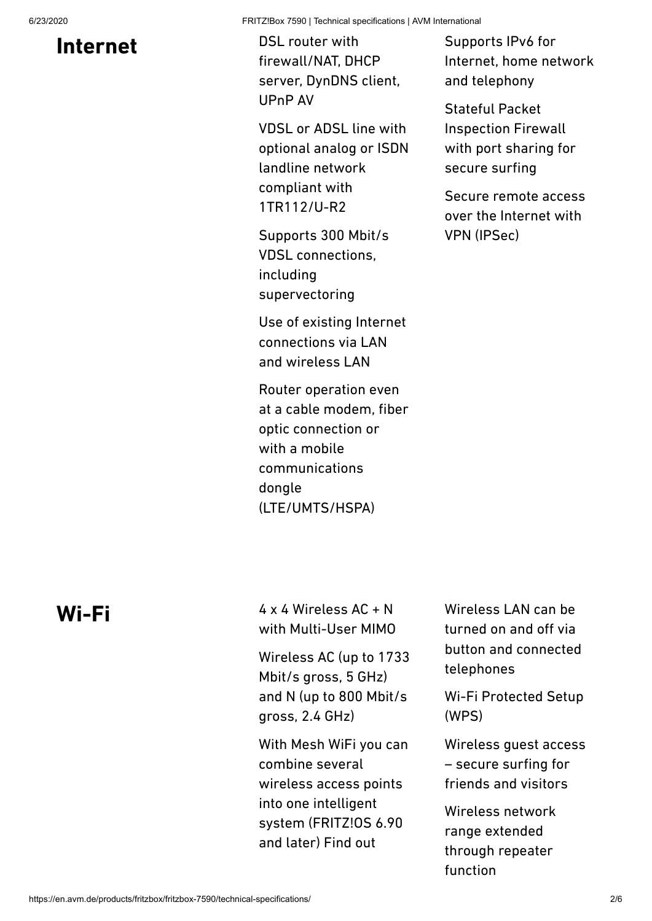## **Internet**

DSL router with firewall/NAT, DHCP server, DynDNS client, UPnP AV

VDSL or ADSL line with optional analog or ISDN landline network compliant with 1TR112/U-R2

Supports 300 Mbit/s VDSL connections, including supervectoring

Use of existing Internet connections via LAN and wireless LAN

Router operation even at a cable modem, fiber optic connection or with a mobile communications dongle (LTE/UMTS/HSPA)

Supports IPv6 for Internet, home network and telephony

Stateful Packet Inspection Firewall with port sharing for secure surfing

Secure remote access over the Internet with VPN (IPSec)

## **Wi-Fi**

 $4 \times 4$  Wireless AC + N with Multi-User MIMO

Wireless AC (up to 1733 Mbit/s gross, 5 GHz) and N (up to 800 Mbit/s gross, 2.4 GHz)

With Mesh WiFi you can combine several wireless access points into one intelligent system (FRITZ!OS 6.90 and later) Find out

Wireless LAN can be turned on and off via button and connected telephones

Wi-Fi Protected Setup (WPS)

Wireless guest access – secure surfing for friends and visitors

Wireless network range extended through repeater function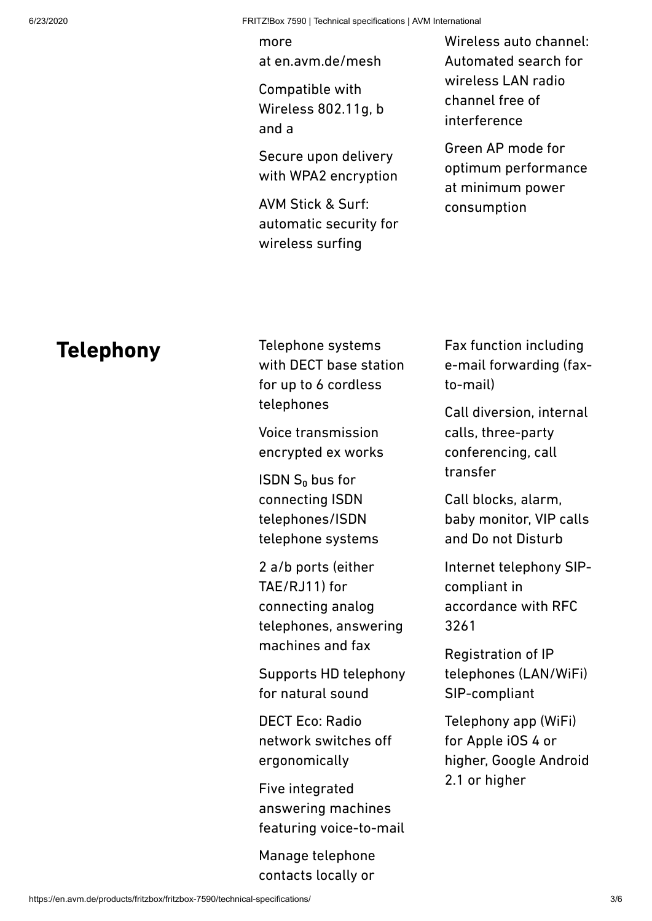more at [en.avm.de/mesh](https://en.avm.de/mesh/)

Compatible with Wireless 802.11g, b and a

Secure upon delivery with WPA2 encryption

AVM Stick & Surf: automatic security for wireless surfing

Wireless auto channel: Automated search for wireless LAN radio channel free of interference

Green AP mode for optimum performance at minimum power consumption

#### **Telephony**

Telephone systems with DECT base station for up to 6 cordless telephones

Voice transmission encrypted ex works

ISDN  $S_0$  bus for connecting ISDN telephones/ISDN telephone systems

2 a/b ports (either TAE/RJ11) for connecting analog telephones, answering machines and fax

Supports HD telephony for natural sound

DECT Eco: Radio network switches off ergonomically

Five integrated answering machines featuring voice-to-mail

Manage telephone contacts locally or Fax function including e-mail forwarding (faxto-mail)

Call diversion, internal calls, three-party conferencing, call transfer

Call blocks, alarm, baby monitor, VIP calls and Do not Disturb

Internet telephony SIPcompliant in accordance with RFC 3261

Registration of IP telephones (LAN/WiFi) SIP-compliant

Telephony app (WiFi) for Apple iOS 4 or higher, Google Android 2.1 or higher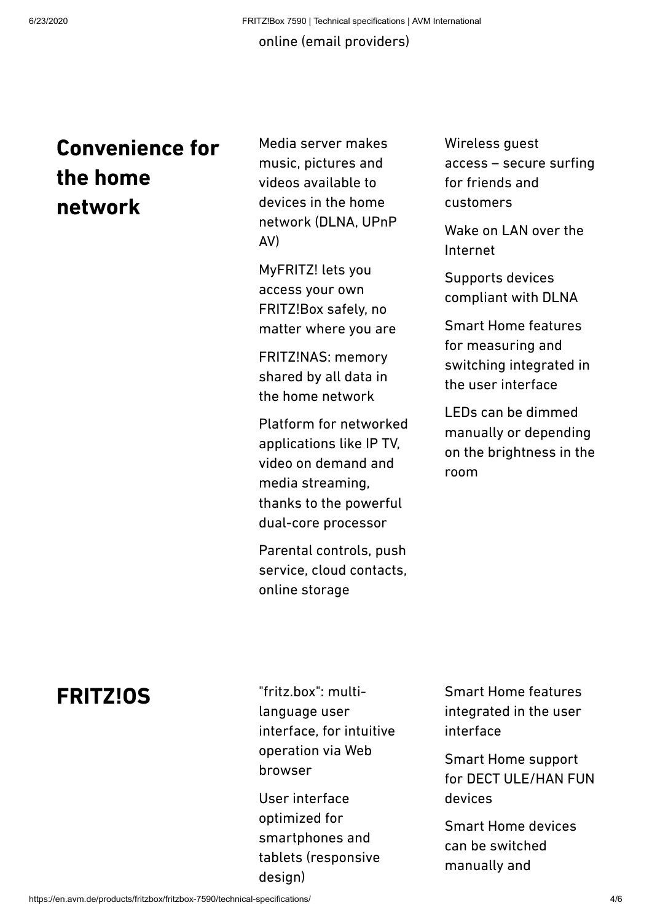#### online (email providers)

## **Convenience for the home network**

Media server makes music, pictures and videos available to devices in the home network (DLNA, UPnP AV)

MyFRITZ! lets you access your own FRITZ!Box safely, no matter where you are

FRITZ!NAS: memory shared by all data in the home network

Platform for networked applications like IP TV, video on demand and media streaming, thanks to the powerful dual-core processor

Parental controls, push service, cloud contacts, online storage

Wireless guest access – secure surfing for friends and customers

Wake on LAN over the Internet

Supports devices compliant with DLNA

Smart Home features for measuring and switching integrated in the user interface

LEDs can be dimmed manually or depending on the brightness in the room

## **FRITZ!OS**

"fritz.box": multilanguage user interface, for intuitive operation via Web browser

User interface optimized for smartphones and tablets (responsive design)

Smart Home features integrated in the user interface

Smart Home support for DECT ULE/HAN FUN devices

Smart Home devices can be switched manually and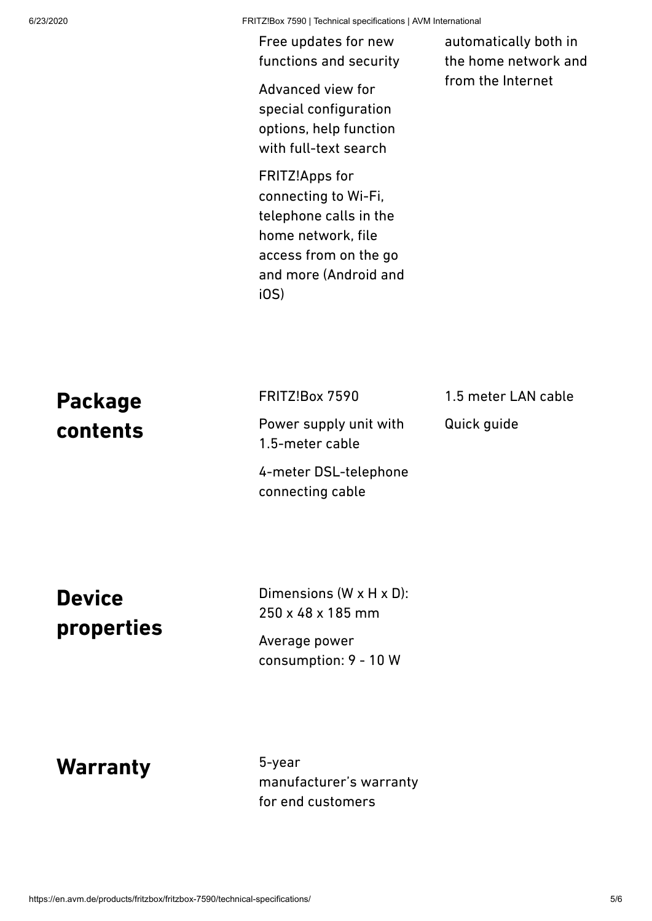6/23/2020 FRITZ!Box 7590 | Technical specifications | AVM International

Free updates for new functions and security

Advanced view for special configuration options, help function with full-text search

FRITZ!Apps for connecting to Wi-Fi, telephone calls in the home network, file access from on the go and more (Android and iOS)

automatically both in the home network and from the Internet

| <b>Package</b>              | FRITZ!Box 7590                                            | 1.5 meter LAN cable |
|-----------------------------|-----------------------------------------------------------|---------------------|
| contents                    | Power supply unit with<br>1.5-meter cable                 | Quick guide         |
|                             | 4-meter DSL-telephone<br>connecting cable                 |                     |
| <b>Device</b><br>properties | Dimensions $(W \times H \times D)$ :<br>250 x 48 x 185 mm |                     |
|                             | Average power<br>consumption: 9 - 10 W                    |                     |

**Warranty**

5-year manufacturer's warranty for end customers